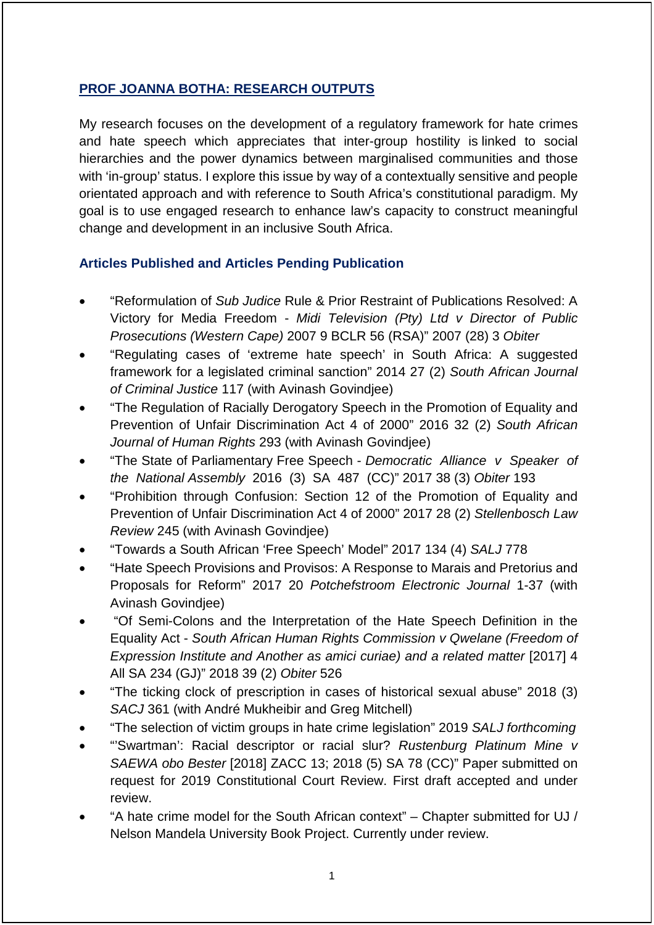## **PROF JOANNA BOTHA: RESEARCH OUTPUTS**

My research focuses on the development of a regulatory framework for hate crimes and hate speech which appreciates that inter-group hostility is linked to social hierarchies and the power dynamics between marginalised communities and those with 'in-group' status. I explore this issue by way of a contextually sensitive and people orientated approach and with reference to South Africa's constitutional paradigm. My goal is to use engaged research to enhance law's capacity to construct meaningful change and development in an inclusive South Africa.

### **Articles Published and Articles Pending Publication**

- "Reformulation of *Sub Judice* Rule & Prior Restraint of Publications Resolved: A Victory for Media Freedom - *Midi Television (Pty) Ltd v Director of Public Prosecutions (Western Cape)* 2007 9 BCLR 56 (RSA)" 2007 (28) 3 *Obiter*
- "Regulating cases of 'extreme hate speech' in South Africa: A suggested framework for a legislated criminal sanction" 2014 27 (2) *South African Journal of Criminal Justice* 117 (with Avinash Govindjee)
- "The Regulation of Racially Derogatory Speech in the Promotion of Equality and Prevention of Unfair Discrimination Act 4 of 2000" 2016 32 (2) *South African Journal of Human Rights* 293 (with Avinash Govindjee)
- "The State of Parliamentary Free Speech *Democratic Alliance v Speaker of the National Assembly* 2016 (3) SA 487 (CC)" 2017 38 (3) *Obiter* 193
- "Prohibition through Confusion: Section 12 of the Promotion of Equality and Prevention of Unfair Discrimination Act 4 of 2000" 2017 28 (2) *Stellenbosch Law Review* 245 (with Avinash Govindjee)
- "Towards a South African 'Free Speech' Model" 2017 134 (4) *SALJ* 778
- "Hate Speech Provisions and Provisos: A Response to Marais and Pretorius and Proposals for Reform" 2017 20 *Potchefstroom Electronic Journal* 1-37 (with Avinash Govindjee)
- "Of Semi-Colons and the Interpretation of the Hate Speech Definition in the Equality Act - *South African Human Rights Commission v Qwelane (Freedom of Expression Institute and Another as amici curiae) and a related matter* [2017] 4 All SA 234 (GJ)" 2018 39 (2) *Obiter* 526
- "The ticking clock of prescription in cases of historical sexual abuse" 2018 (3) *SACJ* 361 (with André Mukheibir and Greg Mitchell)
- "The selection of victim groups in hate crime legislation" 2019 *SALJ forthcoming*
- "'Swartman': Racial descriptor or racial slur? *Rustenburg Platinum Mine v SAEWA obo Bester* [2018] ZACC 13; 2018 (5) SA 78 (CC)" Paper submitted on request for 2019 Constitutional Court Review. First draft accepted and under review.
- "A hate crime model for the South African context" Chapter submitted for UJ / Nelson Mandela University Book Project. Currently under review.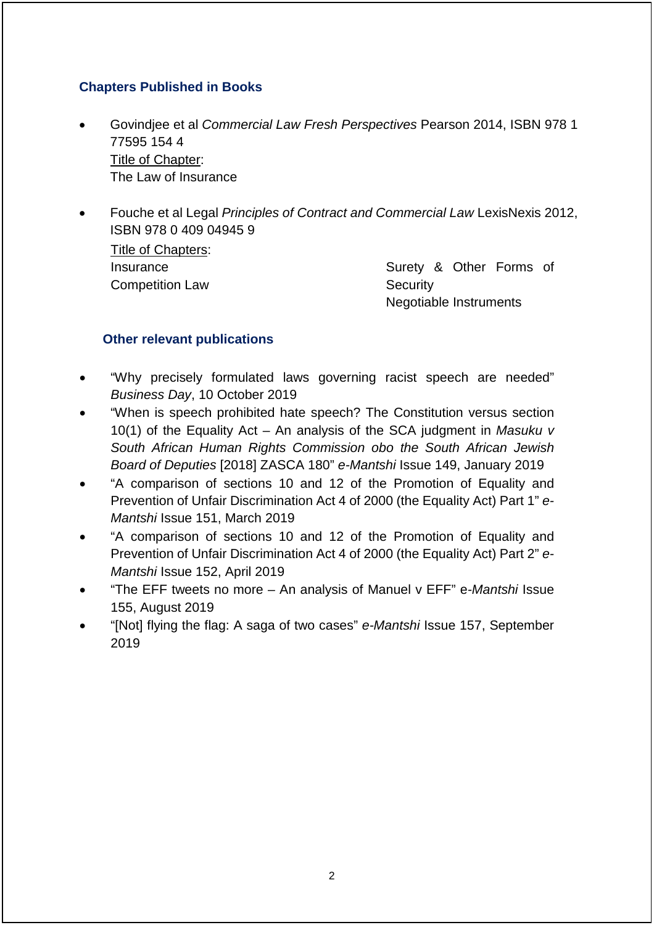## **Chapters Published in Books**

- Govindjee et al *Commercial Law Fresh Perspectives* Pearson 2014, ISBN 978 1 77595 154 4 Title of Chapter: The Law of Insurance
- Fouche et al Legal *Principles of Contract and Commercial Law* LexisNexis 2012, ISBN 978 0 409 04945 9

Title of Chapters: **Insurance** Competition Law

Surety & Other Forms of **Security** Negotiable Instruments

#### **Other relevant publications**

- "Why precisely formulated laws governing racist speech are needed" *Business Day*, 10 October 2019
- "When is speech prohibited hate speech? The Constitution versus section 10(1) of the Equality Act – An analysis of the SCA judgment in *Masuku v South African Human Rights Commission obo the South African Jewish Board of Deputies* [2018] ZASCA 180" *e-Mantshi* Issue 149, January 2019
- "A comparison of sections 10 and 12 of the Promotion of Equality and Prevention of Unfair Discrimination Act 4 of 2000 (the Equality Act) Part 1" *e-Mantshi* Issue 151, March 2019
- "A comparison of sections 10 and 12 of the Promotion of Equality and Prevention of Unfair Discrimination Act 4 of 2000 (the Equality Act) Part 2" *e-Mantshi* Issue 152, April 2019
- "The EFF tweets no more An analysis of Manuel v EFF" e*-Mantshi* Issue 155, August 2019
- "[Not] flying the flag: A saga of two cases" *e-Mantshi* Issue 157, September 2019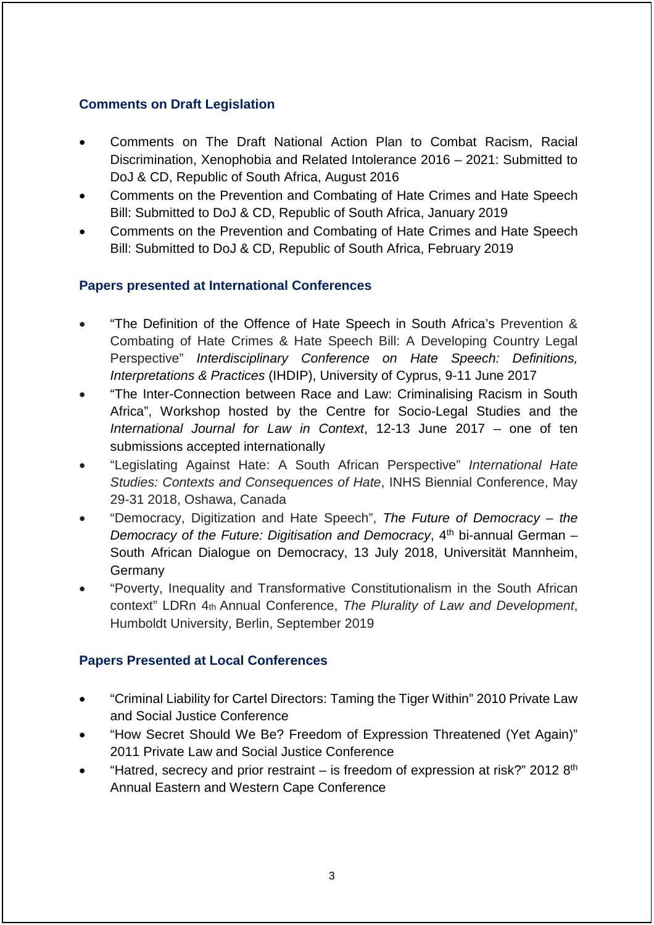### **Comments on Draft Legislation**

- Comments on The Draft National Action Plan to Combat Racism, Racial Discrimination, Xenophobia and Related Intolerance 2016 – 2021: Submitted to DoJ & CD, Republic of South Africa, August 2016
- Comments on the Prevention and Combating of Hate Crimes and Hate Speech Bill: Submitted to DoJ & CD, Republic of South Africa, January 2019
- Comments on the Prevention and Combating of Hate Crimes and Hate Speech Bill: Submitted to DoJ & CD, Republic of South Africa, February 2019

### **Papers presented at International Conferences**

- "The Definition of the Offence of Hate Speech in South Africa's Prevention & Combating of Hate Crimes & Hate Speech Bill: A Developing Country Legal Perspective" *Interdisciplinary Conference on Hate Speech: Definitions, Interpretations & Practices* (IHDIP), University of Cyprus, 9-11 June 2017
- "The Inter-Connection between Race and Law: Criminalising Racism in South Africa", Workshop hosted by the Centre for Socio-Legal Studies and the *International Journal for Law in Context*, 12-13 June 2017 – one of ten submissions accepted internationally
- "Legislating Against Hate: A South African Perspective" *International Hate Studies: Contexts and Consequences of Hate*, INHS Biennial Conference, May 29-31 2018, Oshawa, Canada
- "Democracy, Digitization and Hate Speech", *The Future of Democracy – the Democracy of the Future: Digitisation and Democracy*, 4<sup>th</sup> bi-annual German – South African Dialogue on Democracy, 13 July 2018, Universität Mannheim, Germany
- "Poverty, Inequality and Transformative Constitutionalism in the South African context" LDRn 4th Annual Conference, *The Plurality of Law and Development*, Humboldt University, Berlin, September 2019

# **Papers Presented at Local Conferences**

- "Criminal Liability for Cartel Directors: Taming the Tiger Within" 2010 Private Law and Social Justice Conference
- "How Secret Should We Be? Freedom of Expression Threatened (Yet Again)" 2011 Private Law and Social Justice Conference
- "Hatred, secrecy and prior restraint is freedom of expression at risk?" 2012  $8<sup>th</sup>$ Annual Eastern and Western Cape Conference